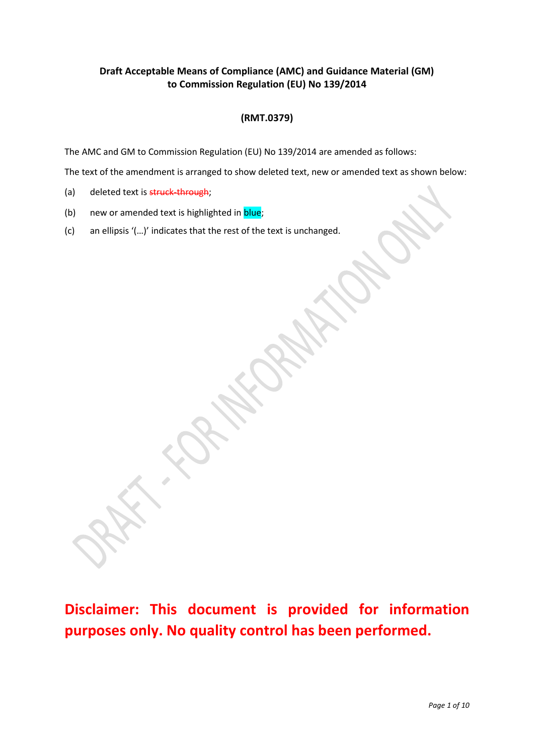# **Draft Acceptable Means of Compliance (AMC) and Guidance Material (GM) to Commission Regulation (EU) No 139/2014**

# **(RMT.0379)**

The AMC and GM to Commission Regulation (EU) No 139/2014 are amended as follows:

The text of the amendment is arranged to show deleted text, new or amended text as shown below:

- (a) deleted text is struck-through;
- (b) new or amended text is highlighted in blue;
- (c) an ellipsis '(…)' indicates that the rest of the text is unchanged.

**Disclaimer: This document is provided for information purposes only. No quality control has been performed.**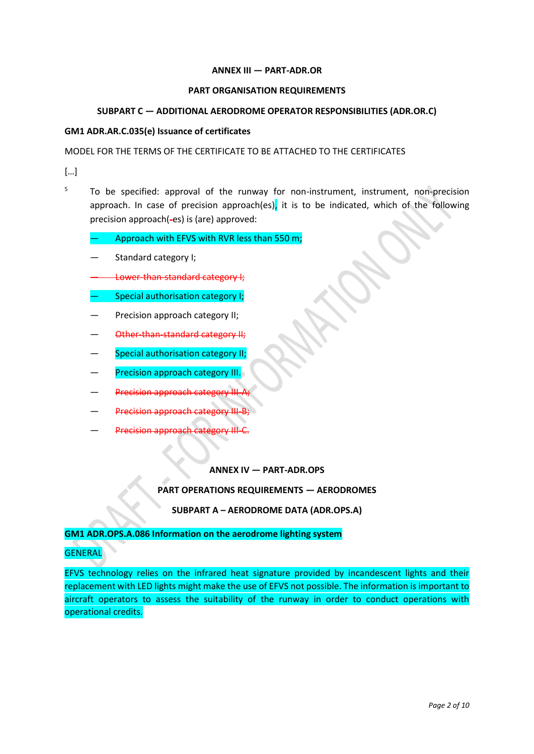### **ANNEX III — PART-ADR.OR**

#### **PART ORGANISATION REQUIREMENTS**

## **SUBPART C — ADDITIONAL AERODROME OPERATOR RESPONSIBILITIES (ADR.OR.C)**

#### **GM1 ADR.AR.C.035(e) Issuance of certificates**

## MODEL FOR THE TERMS OF THE CERTIFICATE TO BE ATTACHED TO THE CERTIFICATES

[…]

 $5$  To be specified: approval of the runway for non-instrument, instrument, non-precision approach. In case of precision approach(es), it is to be indicated, which of the following precision approach(-es) is (are) approved:

Approach with EFVS with RVR less than 550 m;

- Standard category I;
- Lower-than-standard category I;
- Special authorisation category I;
- Precision approach category II;
- Other-than-standard category II;
- Special authorisation category II;
- **Precision approach category III.**
- **Precision approach category**
- Precision approach
- Precision approach category

#### **ANNEX IV — PART-ADR.OPS**

#### **PART OPERATIONS REQUIREMENTS — AERODROMES**

## **SUBPART A – AERODROME DATA (ADR.OPS.A)**

#### **GM1 ADR.OPS.A.086 Information on the aerodrome lighting system**

# **GENERAL**

EFVS technology relies on the infrared heat signature provided by incandescent lights and their replacement with LED lights might make the use of EFVS not possible. The information is important to aircraft operators to assess the suitability of the runway in order to conduct operations with operational credits.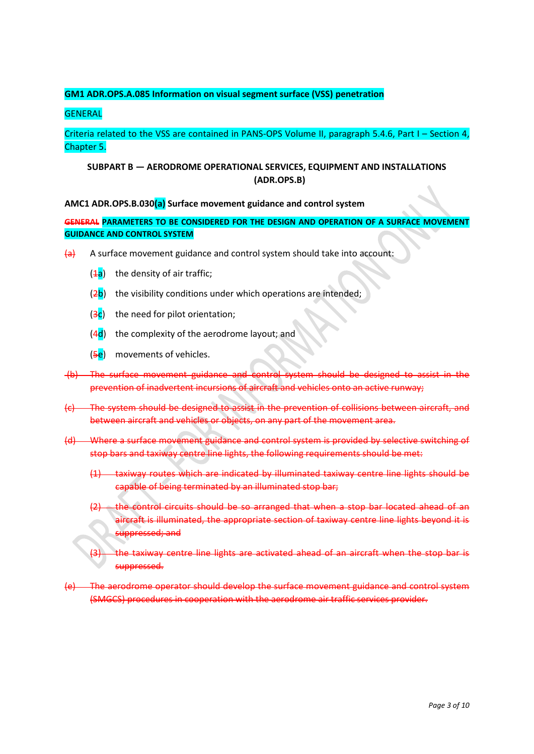# **GM1 ADR.OPS.A.085 Information on visual segment surface (VSS) penetration**

## **GENERAL**

Criteria related to the VSS are contained in PANS-OPS Volume II, paragraph 5.4.6, Part I – Section 4, Chapter 5.

# **SUBPART B — AERODROME OPERATIONAL SERVICES, EQUIPMENT AND INSTALLATIONS (ADR.OPS.B)**

**AMC1 ADR.OPS.B.030(a) Surface movement guidance and control system**

**GENERAL PARAMETERS TO BE CONSIDERED FOR THE DESIGN AND OPERATION OF A SURFACE MOVEMENT GUIDANCE AND CONTROL SYSTEM**

- $\overline{a}$  A surface movement guidance and control system should take into account:
	- $(4a)$  the density of air traffic;
	- $(2b)$  the visibility conditions under which operations are intended:
	- $(3c)$  the need for pilot orientation:
	- $(4d)$  the complexity of the aerodrome layout; and
	- (5<sup>e</sup>) movements of vehicles.
- (b) The surface movement guidance and control system should be designed to assist in the prevention of inadvertent incursions of aircraft and vehicles onto an active runway;
- (c) The system should be designed to assist in the prevention of collisions between aircraft, and between aircraft and vehicles or objects, on any part of the movement area.
- (d) Where a surface movement guidance and control system is provided by selective switching of stop bars and taxiway centre line lights, the following requirements should be met:
	- (1) taxiway routes which are indicated by illuminated taxiway centre line lights should be capable of being terminated by an illuminated stop bar;
	- the control circuits should be so arranged that when a stop bar located ahead of an aircraft is illuminated, the appropriate section of taxiway centre line lights beyond it is suppressed; and
	- the taxiway centre line lights are activated ahead of an aircraft when the stop bar is suppressed.
- (e) The aerodrome operator should develop the surface movement guidance and control system (SMGCS) procedures in cooperation with the aerodrome air traffic services provider.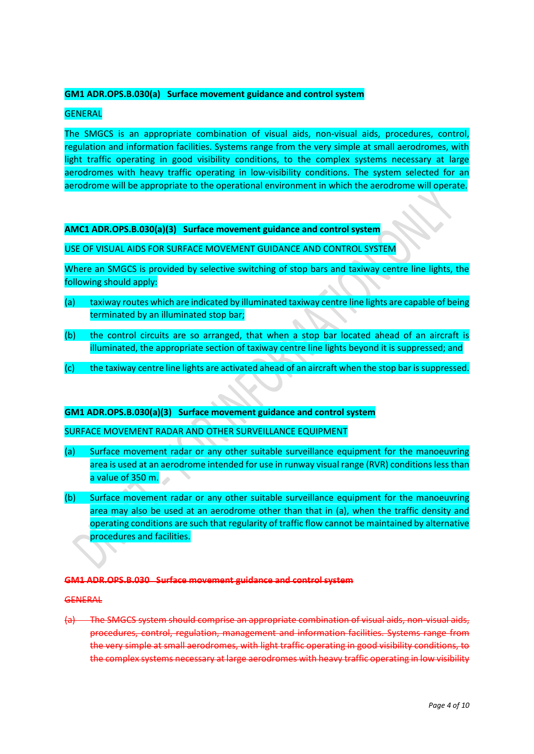### **GM1 ADR.OPS.B.030(a) Surface movement guidance and control system**

### **GENERAL**

The SMGCS is an appropriate combination of visual aids, non-visual aids, procedures, control, regulation and information facilities. Systems range from the very simple at small aerodromes, with light traffic operating in good visibility conditions, to the complex systems necessary at large aerodromes with heavy traffic operating in low-visibility conditions. The system selected for an aerodrome will be appropriate to the operational environment in which the aerodrome will operate.

## **AMC1 ADR.OPS.B.030(a)(3) Surface movement guidance and control system**

#### USE OF VISUAL AIDS FOR SURFACE MOVEMENT GUIDANCE AND CONTROL SYSTEM

Where an SMGCS is provided by selective switching of stop bars and taxiway centre line lights, the following should apply:

- (a) taxiway routes which are indicated by illuminated taxiway centre line lights are capable of being terminated by an illuminated stop bar;
- (b) the control circuits are so arranged, that when a stop bar located ahead of an aircraft is illuminated, the appropriate section of taxiway centre line lights beyond it is suppressed; and
- (c) the taxiway centre line lights are activated ahead of an aircraft when the stop bar is suppressed.

#### **GM1 ADR.OPS.B.030(a)(3) Surface movement guidance and control system**

#### SURFACE MOVEMENT RADAR AND OTHER SURVEILLANCE EQUIPMENT

- (a) Surface movement radar or any other suitable surveillance equipment for the manoeuvring area is used at an aerodrome intended for use in runway visual range (RVR) conditions less than a value of 350 m.
- (b) Surface movement radar or any other suitable surveillance equipment for the manoeuvring area may also be used at an aerodrome other than that in (a), when the traffic density and operating conditions are such that regularity of traffic flow cannot be maintained by alternative procedures and facilities.

#### **GM1 ADR.OPS.B.030 Surface movement guidance and control system**

#### **GENERAL**

(a) The SMGCS system should comprise an appropriate combination of visual aids, non-visual aids, procedures, control, regulation, management and information facilities. Systems range from the very simple at small aerodromes, with light traffic operating in good visibility conditions, to the complex systems necessary at large aerodromes with heavy traffic operating in low visibility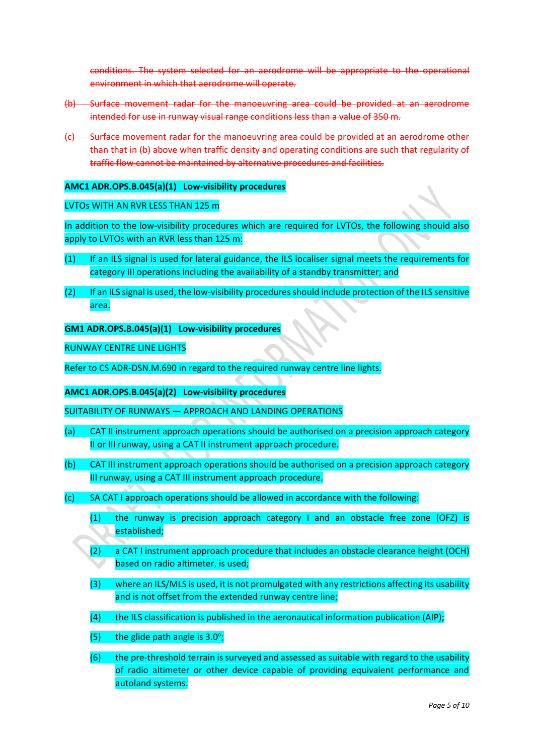conditions. The system selected for an aerodrome will be appropriate to the operational environment in which that aerodrome will operate.

- (b) Surface movement radar for the manoeuvring area could be provided at an aerodrome intended for use in runway visual range conditions less than a value of 350 m.
- (c) Surface movement radar for the manoeuvring area could be provided at an aerodrome other than that in (b) above when traffic density and operating conditions are such that regularity of traffic flow cannot be maintained by alternative procedures and facilities.

#### **AMC1 ADR.OPS.B.045(a)(1) Low-visibility procedures**

#### LVTOs WITH AN RVR LESS THAN 125 m

In addition to the low-visibility procedures which are required for LVTOs, the following should also apply to LVTOs with an RVR less than 125 m:

- (1) If an ILS signal is used for lateral guidance, the ILS localiser signal meets the requirements for category III operations including the availability of a standby transmitter; and
- (2) If an ILS signal is used, the low-visibility procedures should include protection of the ILS sensitive area.

#### **GM1 ADR.OPS.B.045(a)(1) Low-visibility procedures**

RUNWAY CENTRE LINE LIGHTS

Refer to CS ADR-DSN.M.690 in regard to the required runway centre line lights.

### **AMC1 ADR.OPS.B.045(a)(2) Low-visibility procedures**

SUITABILITY OF RUNWAYS — APPROACH AND LANDING OPERATIONS

- (a) CAT II instrument approach operations should be authorised on a precision approach category II or III runway, using a CAT II instrument approach procedure.
- (b) CAT III instrument approach operations should be authorised on a precision approach category III runway, using a CAT III instrument approach procedure.
- (c) SA CAT I approach operations should be allowed in accordance with the following:
	- (1) the runway is precision approach category I and an obstacle free zone (OFZ) is established;
	- (2) a CAT I instrument approach procedure that includes an obstacle clearance height (OCH) based on radio altimeter, is used;
	- (3) where an ILS/MLS is used, it is not promulgated with any restrictions affecting its usability and is not offset from the extended runway centre line;
	- $(4)$  the ILS classification is published in the aeronautical information publication (AIP);
	- $(5)$  the glide path angle is 3.0°;
	- (6) the pre-threshold terrain is surveyed and assessed as suitable with regard to the usability of radio altimeter or other device capable of providing equivalent performance and autoland systems.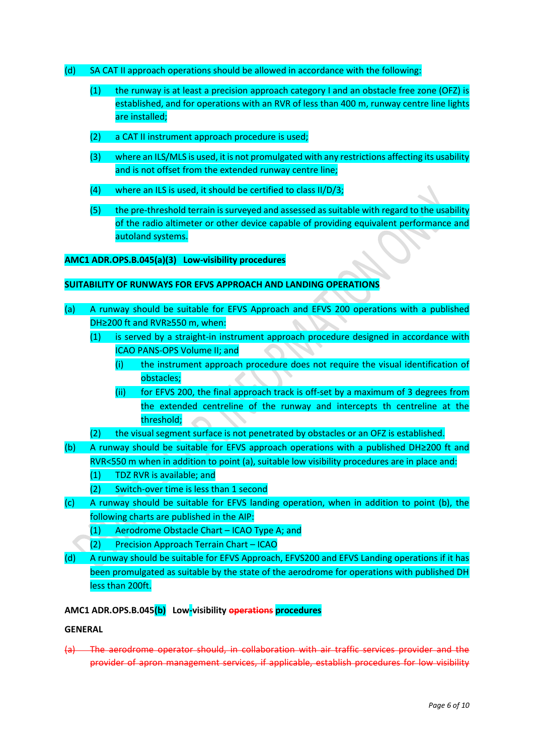- (d) SA CAT II approach operations should be allowed in accordance with the following:
	- (1) the runway is at least a precision approach category I and an obstacle free zone (OFZ) is established, and for operations with an RVR of less than 400 m, runway centre line lights are installed;
	- (2) a CAT II instrument approach procedure is used;
	- (3) where an ILS/MLS is used, it is not promulgated with any restrictions affecting its usability and is not offset from the extended runway centre line;
	- (4) where an ILS is used, it should be certified to class II/D/3;
	- (5) the pre-threshold terrain is surveyed and assessed as suitable with regard to the usability of the radio altimeter or other device capable of providing equivalent performance and autoland systems.

#### **AMC1 ADR.OPS.B.045(a)(3) Low-visibility procedures**

## **SUITABILITY OF RUNWAYS FOR EFVS APPROACH AND LANDING OPERATIONS**

- (a) A runway should be suitable for EFVS Approach and EFVS 200 operations with a published DH≥200 ft and RVR≥550 m, when:
	- (1) is served by a straight-in instrument approach procedure designed in accordance with ICAO PANS-OPS Volume II; and
		- (i) the instrument approach procedure does not require the visual identification of obstacles;
		- (ii) for EFVS 200, the final approach track is off-set by a maximum of 3 degrees from the extended centreline of the runway and intercepts th centreline at the threshold;
	- (2) the visual segment surface is not penetrated by obstacles or an OFZ is established.
- (b) A runway should be suitable for EFVS approach operations with a published DH≥200 ft and RVR<550 m when in addition to point (a), suitable low visibility procedures are in place and:
	- (1) TDZ RVR is available; and
	- (2) Switch-over time is less than 1 second
- (c) A runway should be suitable for EFVS landing operation, when in addition to point (b), the following charts are published in the AIP:
	- (1) Aerodrome Obstacle Chart ICAO Type A; and
	- (2) Precision Approach Terrain Chart ICAO
- (d) A runway should be suitable for EFVS Approach, EFVS200 and EFVS Landing operations if it has been promulgated as suitable by the state of the aerodrome for operations with published DH less than 200ft.

#### **AMC1 ADR.OPS.B.045(b) Low-visibility operations procedures**

#### **GENERAL**

(a) The aerodrome operator should, in collaboration with air traffic services provider and the provider of apron management services, if applicable, establish procedures for low visibility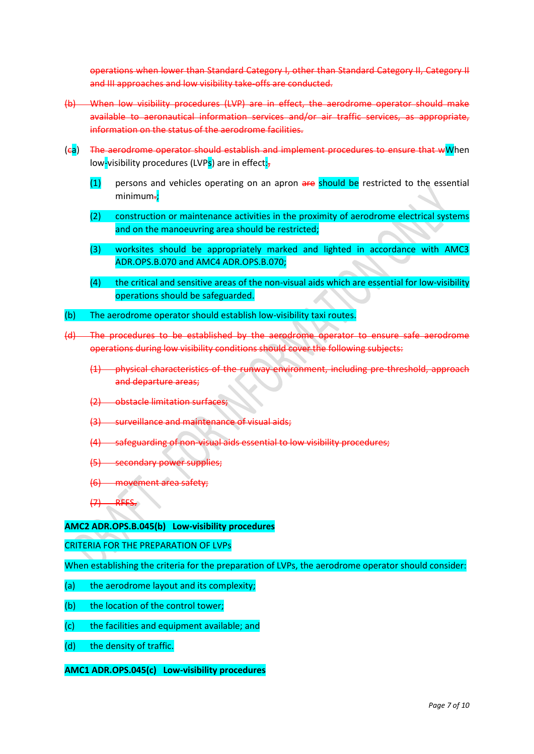operations when lower than Standard Category I, other than Standard Category II, Category II and III approaches and low visibility take-offs are conducted.

- (b) When low visibility procedures (LVP) are in effect, the aerodrome operator should make available to aeronautical information services and/or air traffic services, as appropriate, information on the status of the aerodrome facilities.
- (ca) The aerodrome operator should establish and implement procedures to ensure that wWhen low-visibility procedures (LVPs) are in effect:-
	- (1) persons and vehicles operating on an apron are should be restricted to the essential minimum-;
	- (2) construction or maintenance activities in the proximity of aerodrome electrical systems and on the manoeuvring area should be restricted;
	- (3) worksites should be appropriately marked and lighted in accordance with AMC3 ADR.OPS.B.070 and AMC4 ADR.OPS.B.070;
	- $(4)$  the critical and sensitive areas of the non-visual aids which are essential for low-visibility operations should be safeguarded.
- (b) The aerodrome operator should establish low-visibility taxi routes.
- (d) The procedures to be established by the aerodrome operator to ensure safe aerodrome operations during low visibility conditions should cover the following subjects:
	- (1) physical characteristics of the runway environment, including pre-threshold, approach and departure areas;
	- (2) obstacle limitation surfaces;
	- (3) surveillance and maintenance of visual aids;
	- -safeguarding of non-visual aids essential to low visibility procedures;
	- (5) secondary power supplies;
	- (6) movement area safety;
	- $(7)$  RFFS.

**AMC2 ADR.OPS.B.045(b) Low-visibility procedures**

CRITERIA FOR THE PREPARATION OF LVPs

When establishing the criteria for the preparation of LVPs, the aerodrome operator should consider:

- (a) the aerodrome layout and its complexity:
- (b) the location of the control tower:
- (c) the facilities and equipment available; and
- (d) the density of traffic.

### **AMC1 ADR.OPS.045(c) Low-visibility procedures**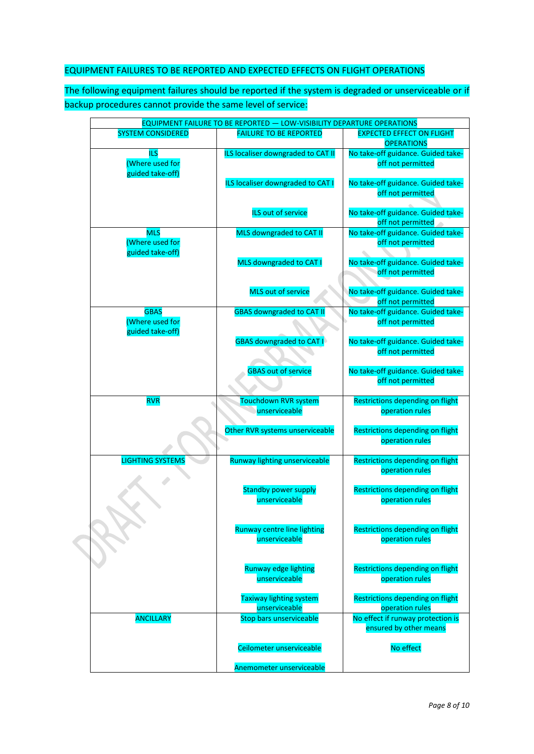# EQUIPMENT FAILURES TO BE REPORTED AND EXPECTED EFFECTS ON FLIGHT OPERATIONS

The following equipment failures should be reported if the system is degraded or unserviceable or if backup procedures cannot provide the same level of service:

| <b>EQUIPMENT FAILURE TO BE REPORTED - LOW-VISIBILITY DEPARTURE OPERATIONS</b> |                                                 |                                                         |  |  |
|-------------------------------------------------------------------------------|-------------------------------------------------|---------------------------------------------------------|--|--|
| <b>SYSTEM CONSIDERED</b>                                                      | <b>FAILURE TO BE REPORTED</b>                   | <b>EXPECTED EFFECT ON FLIGHT</b><br><b>OPERATIONS</b>   |  |  |
| <b>ILS</b>                                                                    | ILS localiser downgraded to CAT II              | No take-off guidance. Guided take-                      |  |  |
| (Where used for                                                               |                                                 | off not permitted                                       |  |  |
| guided take-off)                                                              |                                                 |                                                         |  |  |
|                                                                               | ILS localiser downgraded to CAT I               | No take-off guidance. Guided take-                      |  |  |
|                                                                               |                                                 | off not permitted                                       |  |  |
|                                                                               |                                                 |                                                         |  |  |
|                                                                               | ILS out of service                              | No take-off guidance. Guided take-                      |  |  |
| <b>MLS</b>                                                                    | MLS downgraded to CAT II                        | off not permitted<br>No take-off guidance. Guided take- |  |  |
| (Where used for                                                               |                                                 | off not permitted                                       |  |  |
| guided take-off)                                                              |                                                 |                                                         |  |  |
|                                                                               | MLS downgraded to CAT I                         | No take-off guidance. Guided take-                      |  |  |
|                                                                               |                                                 | off not permitted                                       |  |  |
|                                                                               |                                                 |                                                         |  |  |
|                                                                               | <b>MLS out of service</b>                       | No take-off guidance. Guided take-                      |  |  |
|                                                                               |                                                 | off not permitted                                       |  |  |
| <b>GBAS</b>                                                                   | <b>GBAS downgraded to CAT II</b>                | No take-off guidance. Guided take-                      |  |  |
| (Where used for                                                               |                                                 | off not permitted                                       |  |  |
| guided take-off)                                                              |                                                 |                                                         |  |  |
|                                                                               | <b>GBAS downgraded to CAT I</b>                 | No take-off guidance. Guided take-                      |  |  |
|                                                                               |                                                 | off not permitted                                       |  |  |
|                                                                               |                                                 |                                                         |  |  |
|                                                                               | <b>GBAS out of service</b>                      | No take-off guidance. Guided take-<br>off not permitted |  |  |
|                                                                               |                                                 |                                                         |  |  |
| <b>RVR</b>                                                                    | Touchdown RVR system                            | Restrictions depending on flight                        |  |  |
|                                                                               | unserviceable                                   | operation rules                                         |  |  |
|                                                                               |                                                 |                                                         |  |  |
|                                                                               | Other RVR systems unserviceable                 | Restrictions depending on flight                        |  |  |
|                                                                               |                                                 | operation rules                                         |  |  |
|                                                                               |                                                 |                                                         |  |  |
| <b>LIGHTING SYSTEMS</b>                                                       | Runway lighting unserviceable                   | Restrictions depending on flight                        |  |  |
|                                                                               |                                                 | operation rules                                         |  |  |
|                                                                               |                                                 | Restrictions depending on flight                        |  |  |
|                                                                               | <b>Standby power supply</b><br>unserviceable    | operation rules                                         |  |  |
|                                                                               |                                                 |                                                         |  |  |
|                                                                               |                                                 |                                                         |  |  |
|                                                                               | <b>Runway centre line lighting</b>              | Restrictions depending on flight                        |  |  |
|                                                                               | unserviceable                                   | operation rules                                         |  |  |
|                                                                               |                                                 |                                                         |  |  |
|                                                                               |                                                 |                                                         |  |  |
|                                                                               | Runway edge lighting                            | Restrictions depending on flight                        |  |  |
|                                                                               | unserviceable                                   | operation rules                                         |  |  |
|                                                                               |                                                 | Restrictions depending on flight                        |  |  |
|                                                                               | <b>Taxiway lighting system</b><br>unserviceable | operation rules                                         |  |  |
| <b>ANCILLARY</b>                                                              | <b>Stop bars unserviceable</b>                  | No effect if runway protection is                       |  |  |
|                                                                               |                                                 | ensured by other means                                  |  |  |
|                                                                               |                                                 |                                                         |  |  |
|                                                                               | Ceilometer unserviceable                        | No effect                                               |  |  |
|                                                                               |                                                 |                                                         |  |  |
|                                                                               | Anemometer unserviceable                        |                                                         |  |  |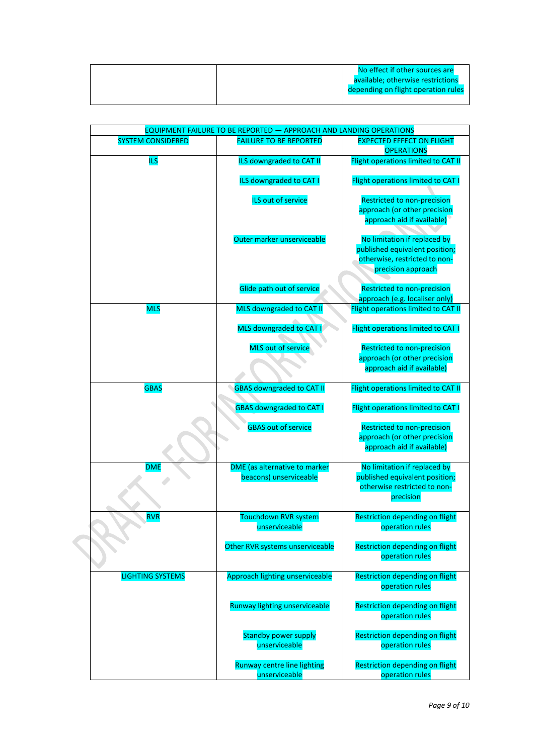|  | No effect if other sources are      |
|--|-------------------------------------|
|  | available; otherwise restrictions   |
|  | depending on flight operation rules |
|  |                                     |

|                          | EQUIPMENT FAILURE TO BE REPORTED - APPROACH AND LANDING OPERATIONS |                                                                                                                       |
|--------------------------|--------------------------------------------------------------------|-----------------------------------------------------------------------------------------------------------------------|
| <b>SYSTEM CONSIDERED</b> | <b>FAILURE TO BE REPORTED</b>                                      | <b>EXPECTED EFFECT ON FLIGHT</b><br><b>OPERATIONS</b>                                                                 |
| <b>ILS</b>               | ILS downgraded to CAT II                                           | Flight operations limited to CAT II                                                                                   |
|                          | <b>ILS downgraded to CAT I</b>                                     | Flight operations limited to CAT I                                                                                    |
|                          | ILS out of service                                                 | <b>Restricted to non-precision</b><br>approach (or other precision<br>approach aid if available)                      |
|                          | Outer marker unserviceable                                         | No limitation if replaced by<br>published equivalent position;<br>otherwise, restricted to non-<br>precision approach |
|                          | Glide path out of service                                          | Restricted to non-precision<br>approach (e.g. localiser only)                                                         |
| <b>MLS</b>               | MLS downgraded to CAT II                                           | Flight operations limited to CAT II                                                                                   |
|                          | MLS downgraded to CAT I                                            | Flight operations limited to CAT I                                                                                    |
|                          | <b>MLS out of service</b>                                          | Restricted to non-precision<br>approach (or other precision<br>approach aid if available)                             |
|                          |                                                                    |                                                                                                                       |
| <b>GBAS</b>              | <b>GBAS downgraded to CAT II</b>                                   | Flight operations limited to CAT II                                                                                   |
|                          | <b>GBAS downgraded to CAT I</b>                                    | Flight operations limited to CAT I                                                                                    |
|                          | <b>GBAS out of service</b>                                         | Restricted to non-precision<br>approach (or other precision                                                           |
|                          |                                                                    | approach aid if available)                                                                                            |
| <b>DME</b>               | DME (as alternative to marker<br>beacons) unserviceable            | No limitation if replaced by<br>published equivalent position;                                                        |
|                          |                                                                    | otherwise restricted to non-<br>precision                                                                             |
| <b>RVR</b>               | <b>Touchdown RVR system</b>                                        | <b>Restriction depending on flight</b>                                                                                |
|                          | unserviceable                                                      | operation rules                                                                                                       |
|                          | Other RVR systems unserviceable                                    | <b>Restriction depending on flight</b><br>operation rules                                                             |
| <b>LIGHTING SYSTEMS</b>  | Approach lighting unserviceable                                    | <b>Restriction depending on flight</b><br>operation rules                                                             |
|                          | Runway lighting unserviceable                                      | Restriction depending on flight<br>operation rules                                                                    |
|                          | <b>Standby power supply</b><br>unserviceable                       | <b>Restriction depending on flight</b><br>operation rules                                                             |
|                          | <b>Runway centre line lighting</b><br>unserviceable                | <b>Restriction depending on flight</b><br>operation rules                                                             |